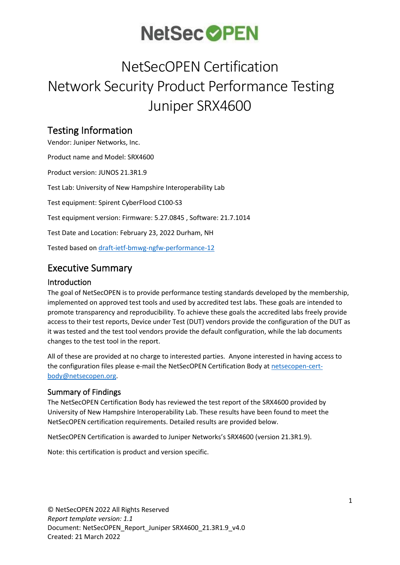## NetSecOPEN Certification Network Security Product Performance Testing Juniper SRX4600

## Testing Information

Vendor: Juniper Networks, Inc. Product name and Model: SRX4600 Product version: JUNOS 21.3R1.9 Test Lab: University of New Hampshire Interoperability Lab Test equipment: Spirent CyberFlood C100-S3 Test equipment version: Firmware: 5.27.0845 , Software: 21.7.1014 Test Date and Location: February 23, 2022 Durham, NH Tested based on [draft-ietf-bmwg-ngfw-performance-12](https://tools.ietf.org/html/draft-ietf-bmwg-ngfw-performance-12)

## Executive Summary

### Introduction

The goal of NetSecOPEN is to provide performance testing standards developed by the membership, implemented on approved test tools and used by accredited test labs. These goals are intended to promote transparency and reproducibility. To achieve these goals the accredited labs freely provide access to their test reports, Device under Test (DUT) vendors provide the configuration of the DUT as it was tested and the test tool vendors provide the default configuration, while the lab documents changes to the test tool in the report.

All of these are provided at no charge to interested parties. Anyone interested in having access to the configuration files please e-mail the NetSecOPEN Certification Body at [netsecopen-cert](mailto:netsecopen-cert-body@netsecopen.org)[body@netsecopen.org.](mailto:netsecopen-cert-body@netsecopen.org)

## Summary of Findings

The NetSecOPEN Certification Body has reviewed the test report of the SRX4600 provided by University of New Hampshire Interoperability Lab. These results have been found to meet the NetSecOPEN certification requirements. Detailed results are provided below.

NetSecOPEN Certification is awarded to Juniper Networks's SRX4600 (version 21.3R1.9).

Note: this certification is product and version specific.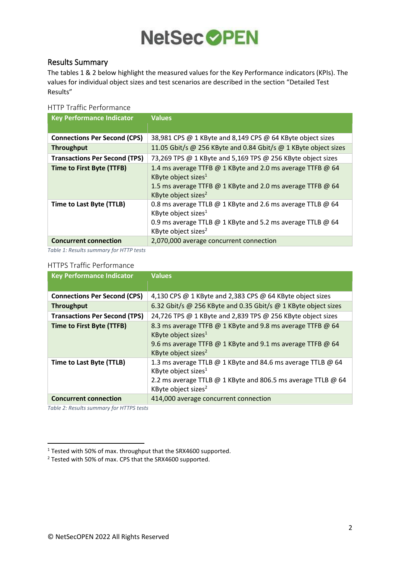### Results Summary

The tables 1 & 2 below highlight the measured values for the Key Performance indicators (KPIs). The values for individual object sizes and test scenarios are described in the section "[Detailed Test](#page-3-0)  [Results](#page-3-0)"

#### HTTP Traffic Performance

<span id="page-1-0"></span>

| <b>Key Performance Indicator</b>     | <b>Values</b>                                                                                                                                                                                  |
|--------------------------------------|------------------------------------------------------------------------------------------------------------------------------------------------------------------------------------------------|
| <b>Connections Per Second (CPS)</b>  | 38,981 CPS @ 1 KByte and 8,149 CPS @ 64 KByte object sizes                                                                                                                                     |
| <b>Throughput</b>                    | 11.05 Gbit/s @ 256 KByte and 0.84 Gbit/s @ 1 KByte object sizes                                                                                                                                |
| <b>Transactions Per Second (TPS)</b> | 73,269 TPS @ 1 KByte and 5,169 TPS @ 256 KByte object sizes                                                                                                                                    |
| Time to First Byte (TTFB)            | 1.4 ms average TTFB @ 1 KByte and 2.0 ms average TTFB @ 64<br>KByte object sizes <sup>1</sup><br>1.5 ms average TTFB @ 1 KByte and 2.0 ms average TTFB @ 64<br>KByte object sizes <sup>2</sup> |
| Time to Last Byte (TTLB)             | 0.8 ms average TTLB @ 1 KByte and 2.6 ms average TTLB @ 64<br>KByte object sizes <sup>1</sup><br>0.9 ms average TTLB @ 1 KByte and 5.2 ms average TTLB @ 64<br>KByte object sizes <sup>2</sup> |
| <b>Concurrent connection</b>         | 2,070,000 average concurrent connection                                                                                                                                                        |

<span id="page-1-1"></span>*Table 1: Results summary for HTTP tests*

#### HTTPS Traffic Performance

| <b>Key Performance Indicator</b>     | <b>Values</b>                                                                                                                                                                                     |
|--------------------------------------|---------------------------------------------------------------------------------------------------------------------------------------------------------------------------------------------------|
|                                      |                                                                                                                                                                                                   |
| <b>Connections Per Second (CPS)</b>  | 4,130 CPS @ 1 KByte and 2,383 CPS @ 64 KByte object sizes                                                                                                                                         |
| <b>Throughput</b>                    | 6.32 Gbit/s @ 256 KByte and 0.35 Gbit/s @ 1 KByte object sizes                                                                                                                                    |
| <b>Transactions Per Second (TPS)</b> | 24,726 TPS @ 1 KByte and 2,839 TPS @ 256 KByte object sizes                                                                                                                                       |
| <b>Time to First Byte (TTFB)</b>     | 8.3 ms average TTFB @ 1 KByte and 9.8 ms average TTFB @ 64<br>KByte object sizes <sup>1</sup><br>9.6 ms average TTFB @ 1 KByte and 9.1 ms average TTFB @ 64<br>KByte object sizes <sup>2</sup>    |
| Time to Last Byte (TTLB)             | 1.3 ms average TTLB @ 1 KByte and 84.6 ms average TTLB @ 64<br>KByte object sizes <sup>1</sup><br>2.2 ms average TTLB @ 1 KByte and 806.5 ms average TTLB @ 64<br>KByte object sizes <sup>2</sup> |
| <b>Concurrent connection</b>         | 414,000 average concurrent connection                                                                                                                                                             |

*Table 2: Results summary for HTTPS tests*

<sup>1</sup> Tested with 50% of max. throughput that the SRX4600 supported.

<sup>2</sup> Tested with 50% of max. CPS that the SRX4600 supported.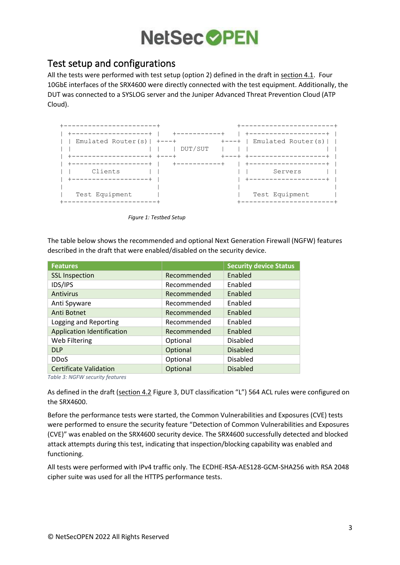## Test setup and configurations

All the tests were performed with test setup (option 2) defined in the draft in [section 4.1.](https://tools.ietf.org/html/draft-ietf-bmwg-ngfw-performance-12#section-4.1) Four 10GbE interfaces of the SRX4600 were directly connected with the test equipment. Additionally, the DUT was connected to a SYSLOG server and the Juniper Advanced Threat Prevention Cloud (ATP Cloud).



*Figure 1: Testbed Setup*

The table below shows the recommended and optional Next Generation Firewall (NGFW) features described in the draft that were enabled/disabled on the security device.

| <b>Features</b>                   |             | <b>Security device Status</b> |
|-----------------------------------|-------------|-------------------------------|
| <b>SSL Inspection</b>             | Recommended | Enabled                       |
| IDS/IPS                           | Recommended | Enabled                       |
| Antivirus                         | Recommended | Enabled                       |
| Anti Spyware                      | Recommended | Enabled                       |
| <b>Anti Botnet</b>                | Recommended | Enabled                       |
| Logging and Reporting             | Recommended | Enabled                       |
| <b>Application Identification</b> | Recommended | Enabled                       |
| Web Filtering                     | Optional    | <b>Disabled</b>               |
| <b>DLP</b>                        | Optional    | <b>Disabled</b>               |
| <b>DDoS</b>                       | Optional    | <b>Disabled</b>               |
| <b>Certificate Validation</b>     | Optional    | <b>Disabled</b>               |

*Table 3: NGFW security features*

As defined in the draft [\(section 4.2](https://tools.ietf.org/html/draft-ietf-bmwg-ngfw-performance-12#section-4.2) Figure 3, DUT classification "L") 564 ACL rules were configured on the SRX4600.

Before the performance tests were started, the Common Vulnerabilities and Exposures (CVE) tests were performed to ensure the security feature "Detection of Common Vulnerabilities and Exposures (CVE)" was enabled on the SRX4600 security device. The SRX4600 successfully detected and blocked attack attempts during this test, indicating that inspection/blocking capability was enabled and functioning.

All tests were performed with IPv4 traffic only. The ECDHE-RSA-AES128-GCM-SHA256 with RSA 2048 cipher suite was used for all the HTTPS performance tests.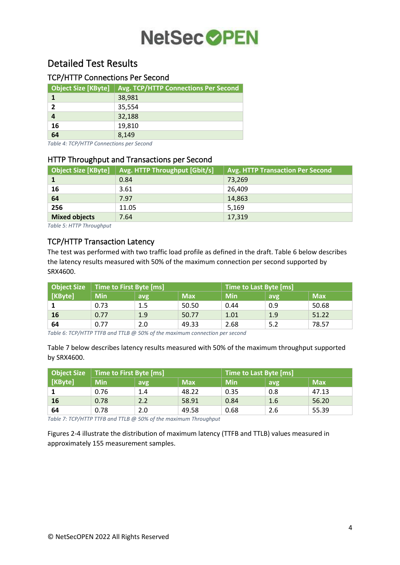## <span id="page-3-0"></span>Detailed Test Results

## TCP/HTTP Connections Per Second

| <b>Object Size [KByte]</b> | <b>Avg. TCP/HTTP Connections Per Second</b> |
|----------------------------|---------------------------------------------|
|                            | 38,981                                      |
|                            | 35,554                                      |
|                            | 32,188                                      |
| 16                         | 19,810                                      |
| 64                         | 8,149                                       |

*Table 4: TCP/HTTP Connections per Second*

### HTTP Throughput and Transactions per Second

| Object Size [KByte]  | Avg. HTTP Throughput [Gbit/s] | Avg. HTTP Transaction Per Second |
|----------------------|-------------------------------|----------------------------------|
|                      | 0.84                          | 73,269                           |
| 16                   | 3.61                          | 26,409                           |
| 64                   | 7.97                          | 14,863                           |
| 256                  | 11.05                         | 5,169                            |
| <b>Mixed objects</b> | 7.64                          | 17,319                           |

*Table 5: HTTP Throughput*

## TCP/HTTP Transaction Latency

The test was performed with two traffic load profile as defined in the draft. Table 6 below describes the latency results measured with 50% of the maximum connection per second supported by SRX4600.

|         | Object Size   Time to First Byte [ms] |     |            | <b>Time to Last Byte [ms]</b> |      |            |
|---------|---------------------------------------|-----|------------|-------------------------------|------|------------|
| [KByte] | <b>Min</b>                            | avg | <b>Max</b> | <b>Min</b>                    | avgl | <b>Max</b> |
|         | 0.73                                  | 1.5 | 50.50      | 0.44                          | 0.9  | 50.68      |
| 16      | 0.77                                  | 1.9 | 50.77      | 1.01                          | 1.9  | 51.22      |
| 64      | 0.77                                  | 2.0 | 49.33      | 2.68                          |      | 78.57      |

*Table 6: TCP/HTTP TTFB and TTLB @ 50% of the maximum connection per second*

Table 7 below describes latency results measured with 50% of the maximum throughput supported by SRX4600.

|         | Object Size   Time to First Byte [ms] |     |            | <b>Time to Last Byte [ms]</b> |     |            |
|---------|---------------------------------------|-----|------------|-------------------------------|-----|------------|
| [KByte] | <b>Min</b>                            | avg | <b>Max</b> | <b>Min</b>                    | avg | <b>Max</b> |
|         | 0.76                                  | 1.4 | 48.22      | 0.35                          | 0.8 | 47.13      |
| 16      | 0.78                                  | 2.2 | 58.91      | 0.84                          | 1.6 | 56.20      |
| 64      | 0.78                                  | 2.0 | 49.58      | 0.68                          | 2.6 | 55.39      |

*Table 7: TCP/HTTP TTFB and TTLB @ 50% of the maximum Throughput*

Figures 2-4 illustrate the distribution of maximum latency (TTFB and TTLB) values measured in approximately 155 measurement samples.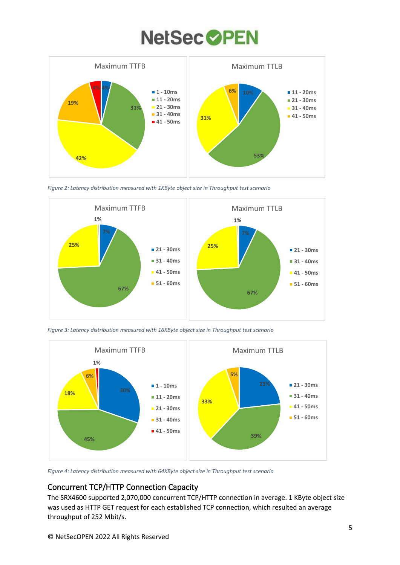

*Figure 2: Latency distribution measured with 1KByte object size in Throughput test scenario*



*Figure 3: Latency distribution measured with 16KByte object size in Throughput test scenario*



*Figure 4: Latency distribution measured with 64KByte object size in Throughput test scenario*

## Concurrent TCP/HTTP Connection Capacity

The SRX4600 supported 2,070,000 concurrent TCP/HTTP connection in average. 1 KByte object size was used as HTTP GET request for each established TCP connection, which resulted an average throughput of 252 Mbit/s.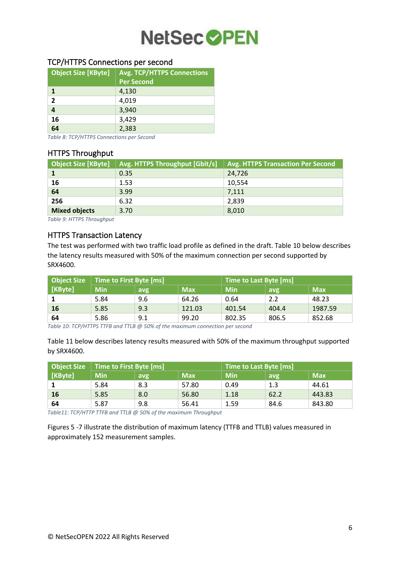### TCP/HTTPS Connections per second

| <b>Object Size [KByte]</b> | <b>Avg. TCP/HTTPS Connections</b> |
|----------------------------|-----------------------------------|
|                            | <b>Per Second</b>                 |
|                            | 4,130                             |
| $\mathbf{2}$               | 4,019                             |
| 4                          | 3,940                             |
| 16                         | 3,429                             |
| 64                         | 2,383                             |

*Table 8: TCP/HTTPS Connections per Second*

#### HTTPS Throughput

| <b>Object Size [KByte]</b> | Avg. HTTPS Throughput [Gbit/s] | Avg. HTTPS Transaction Per Second |
|----------------------------|--------------------------------|-----------------------------------|
|                            | 0.35                           | 24,726                            |
| 16                         | 1.53                           | 10,554                            |
| 64                         | 3.99                           | 7,111                             |
| 256                        | 6.32                           | 2,839                             |
| <b>Mixed objects</b>       | 3.70                           | 8,010                             |

*Table 9: HTTPS Throughput*

### HTTPS Transaction Latency

The test was performed with two traffic load profile as defined in the draft. Table 10 below describes the latency results measured with 50% of the maximum connection per second supported by SRX4600.

| Object Size | Time to First Byte [ms] |     |            | Time to Last Byte [ms] |       |            |
|-------------|-------------------------|-----|------------|------------------------|-------|------------|
| [KByte]     | <b>Min</b>              | avg | <b>Max</b> | <b>Min</b>             | avg   | <b>Max</b> |
|             | 5.84                    | 9.6 | 64.26      | 0.64                   | 2.2   | 48.23      |
| <b>16</b>   | 5.85                    | 9.3 | 121.03     | 401.54                 | 404.4 | 1987.59    |
| 64          | 5.86                    | 9.1 | 99.20      | 802.35                 | 806.5 | 852.68     |

*Table 10: TCP/HTTPS TTFB and TTLB @ 50% of the maximum connection per second*

Table 11 below describes latency results measured with 50% of the maximum throughput supported by SRX4600.

| <b>Object Size</b> | Time to First Byte [ms] |     |            | Time to Last Byte [ms] |      |            |
|--------------------|-------------------------|-----|------------|------------------------|------|------------|
| [KByte]            | <b>Min</b>              | avg | <b>Max</b> | <b>Min</b>             | avg  | <b>Max</b> |
|                    | 5.84                    | 8.3 | 57.80      | 0.49                   | 1.3  | 44.61      |
| 16                 | 5.85                    | 8.0 | 56.80      | 1.18                   | 62.2 | 443.83     |
| 64                 | 5.87                    | 9.8 | 56.41      | 1.59                   | 84.6 | 843.80     |

*Table11: TCP/HTTP TTFB and TTLB @ 50% of the maximum Throughput*

Figures 5 -7 illustrate the distribution of maximum latency (TTFB and TTLB) values measured in approximately 152 measurement samples.